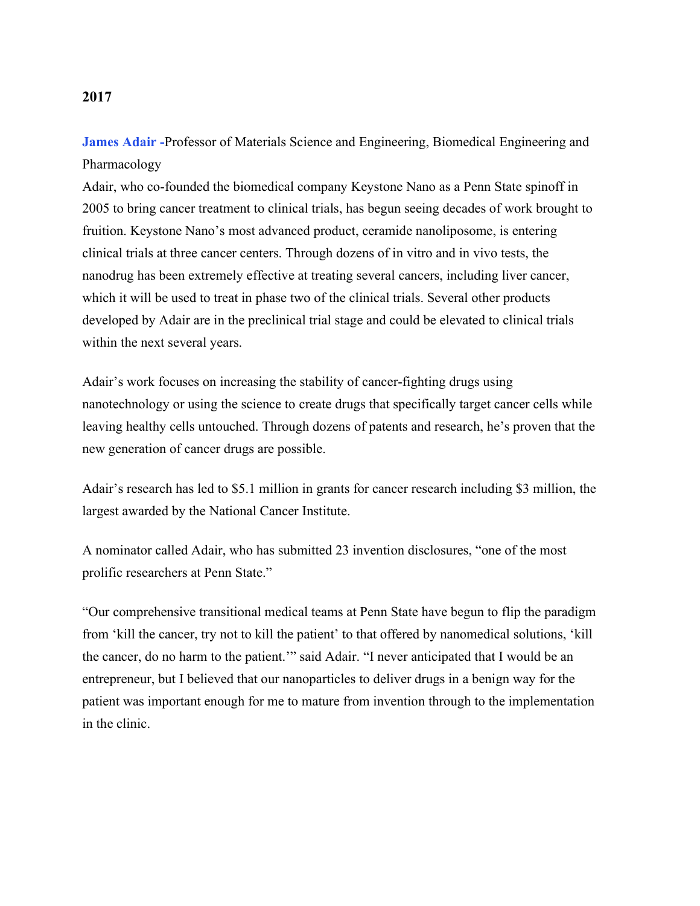## 2017

James Adair -Professor of Materials Science and Engineering, Biomedical Engineering and Pharmacology

Adair, who co-founded the biomedical company Keystone Nano as a Penn State spinoff in 2005 to bring cancer treatment to clinical trials, has begun seeing decades of work brought to fruition. Keystone Nano's most advanced product, ceramide nanoliposome, is entering clinical trials at three cancer centers. Through dozens of in vitro and in vivo tests, the nanodrug has been extremely effective at treating several cancers, including liver cancer, which it will be used to treat in phase two of the clinical trials. Several other products developed by Adair are in the preclinical trial stage and could be elevated to clinical trials within the next several years.

Adair's work focuses on increasing the stability of cancer-fighting drugs using nanotechnology or using the science to create drugs that specifically target cancer cells while leaving healthy cells untouched. Through dozens of patents and research, he's proven that the new generation of cancer drugs are possible.

Adair's research has led to \$5.1 million in grants for cancer research including \$3 million, the largest awarded by the National Cancer Institute.

A nominator called Adair, who has submitted 23 invention disclosures, "one of the most prolific researchers at Penn State."

"Our comprehensive transitional medical teams at Penn State have begun to flip the paradigm from 'kill the cancer, try not to kill the patient' to that offered by nanomedical solutions, 'kill the cancer, do no harm to the patient.'" said Adair. "I never anticipated that I would be an entrepreneur, but I believed that our nanoparticles to deliver drugs in a benign way for the patient was important enough for me to mature from invention through to the implementation in the clinic.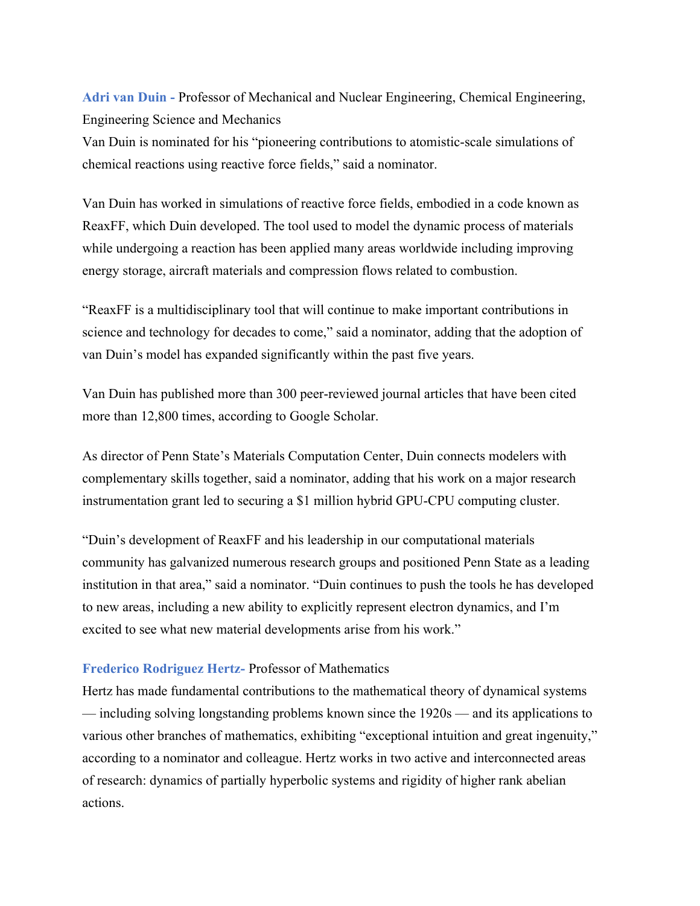Adri van Duin - Professor of Mechanical and Nuclear Engineering, Chemical Engineering, Engineering Science and Mechanics

Van Duin is nominated for his "pioneering contributions to atomistic-scale simulations of chemical reactions using reactive force fields," said a nominator.

Van Duin has worked in simulations of reactive force fields, embodied in a code known as ReaxFF, which Duin developed. The tool used to model the dynamic process of materials while undergoing a reaction has been applied many areas worldwide including improving energy storage, aircraft materials and compression flows related to combustion.

"ReaxFF is a multidisciplinary tool that will continue to make important contributions in science and technology for decades to come," said a nominator, adding that the adoption of van Duin's model has expanded significantly within the past five years.

Van Duin has published more than 300 peer-reviewed journal articles that have been cited more than 12,800 times, according to Google Scholar.

As director of Penn State's Materials Computation Center, Duin connects modelers with complementary skills together, said a nominator, adding that his work on a major research instrumentation grant led to securing a \$1 million hybrid GPU-CPU computing cluster.

"Duin's development of ReaxFF and his leadership in our computational materials community has galvanized numerous research groups and positioned Penn State as a leading institution in that area," said a nominator. "Duin continues to push the tools he has developed to new areas, including a new ability to explicitly represent electron dynamics, and I'm excited to see what new material developments arise from his work."

## Frederico Rodriguez Hertz- Professor of Mathematics

Hertz has made fundamental contributions to the mathematical theory of dynamical systems — including solving longstanding problems known since the 1920s — and its applications to various other branches of mathematics, exhibiting "exceptional intuition and great ingenuity," according to a nominator and colleague. Hertz works in two active and interconnected areas of research: dynamics of partially hyperbolic systems and rigidity of higher rank abelian actions.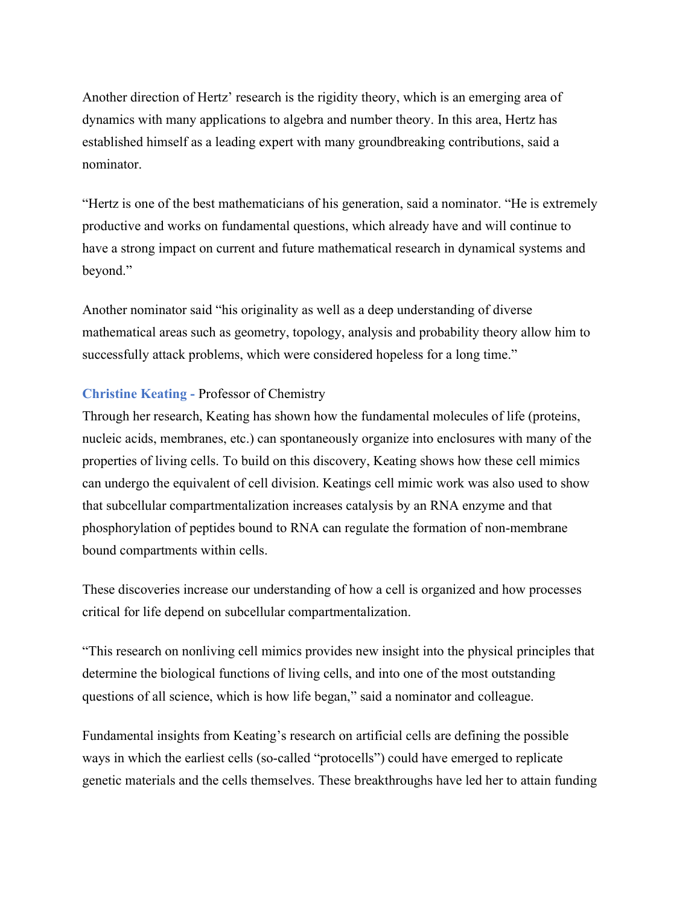Another direction of Hertz' research is the rigidity theory, which is an emerging area of dynamics with many applications to algebra and number theory. In this area, Hertz has established himself as a leading expert with many groundbreaking contributions, said a nominator.

"Hertz is one of the best mathematicians of his generation, said a nominator. "He is extremely productive and works on fundamental questions, which already have and will continue to have a strong impact on current and future mathematical research in dynamical systems and beyond."

Another nominator said "his originality as well as a deep understanding of diverse mathematical areas such as geometry, topology, analysis and probability theory allow him to successfully attack problems, which were considered hopeless for a long time."

## Christine Keating - Professor of Chemistry

Through her research, Keating has shown how the fundamental molecules of life (proteins, nucleic acids, membranes, etc.) can spontaneously organize into enclosures with many of the properties of living cells. To build on this discovery, Keating shows how these cell mimics can undergo the equivalent of cell division. Keatings cell mimic work was also used to show that subcellular compartmentalization increases catalysis by an RNA enzyme and that phosphorylation of peptides bound to RNA can regulate the formation of non-membrane bound compartments within cells.

These discoveries increase our understanding of how a cell is organized and how processes critical for life depend on subcellular compartmentalization.

"This research on nonliving cell mimics provides new insight into the physical principles that determine the biological functions of living cells, and into one of the most outstanding questions of all science, which is how life began," said a nominator and colleague.

Fundamental insights from Keating's research on artificial cells are defining the possible ways in which the earliest cells (so-called "protocells") could have emerged to replicate genetic materials and the cells themselves. These breakthroughs have led her to attain funding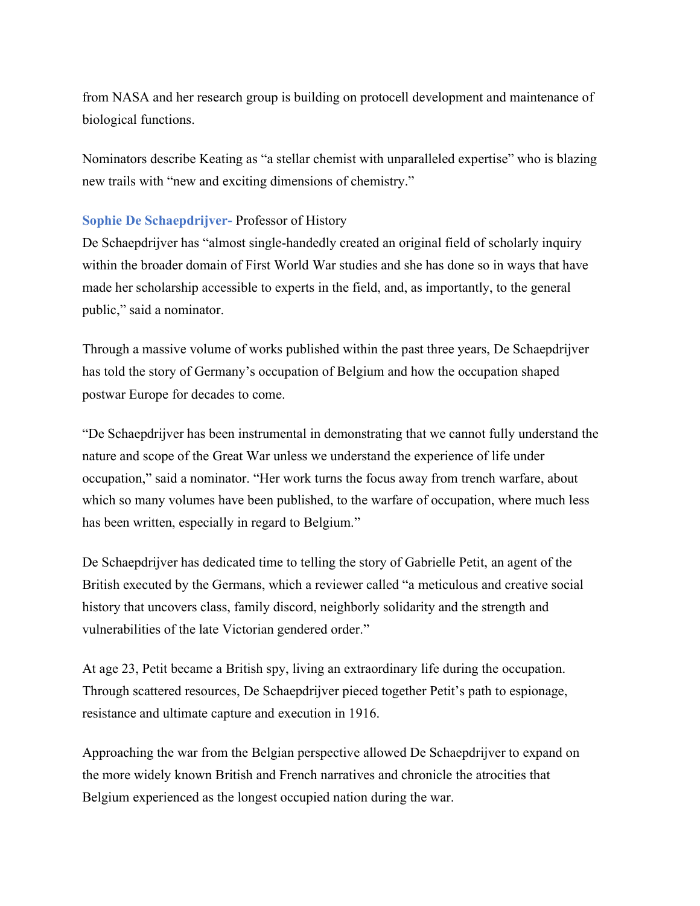from NASA and her research group is building on protocell development and maintenance of biological functions.

Nominators describe Keating as "a stellar chemist with unparalleled expertise" who is blazing new trails with "new and exciting dimensions of chemistry."

## Sophie De Schaepdrijver- Professor of History

De Schaepdrijver has "almost single-handedly created an original field of scholarly inquiry within the broader domain of First World War studies and she has done so in ways that have made her scholarship accessible to experts in the field, and, as importantly, to the general public," said a nominator.

Through a massive volume of works published within the past three years, De Schaepdrijver has told the story of Germany's occupation of Belgium and how the occupation shaped postwar Europe for decades to come.

"De Schaepdrijver has been instrumental in demonstrating that we cannot fully understand the nature and scope of the Great War unless we understand the experience of life under occupation," said a nominator. "Her work turns the focus away from trench warfare, about which so many volumes have been published, to the warfare of occupation, where much less has been written, especially in regard to Belgium."

De Schaepdrijver has dedicated time to telling the story of Gabrielle Petit, an agent of the British executed by the Germans, which a reviewer called "a meticulous and creative social history that uncovers class, family discord, neighborly solidarity and the strength and vulnerabilities of the late Victorian gendered order."

At age 23, Petit became a British spy, living an extraordinary life during the occupation. Through scattered resources, De Schaepdrijver pieced together Petit's path to espionage, resistance and ultimate capture and execution in 1916.

Approaching the war from the Belgian perspective allowed De Schaepdrijver to expand on the more widely known British and French narratives and chronicle the atrocities that Belgium experienced as the longest occupied nation during the war.